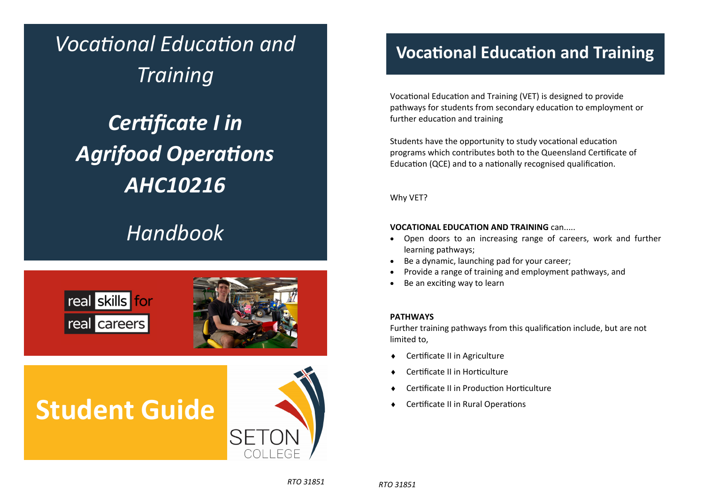*VocaƟonal EducaƟon and Training CerƟficate I in*  **Agrifood Operations** *AHC10216* 

### *Handbook*





# **Student Guide**



### **VocaƟonal EducaƟon and Training**

Vocational Education and Training (VET) is designed to provide pathways for students from secondary education to employment or further education and training

Students have the opportunity to study vocational education programs which contributes both to the Queensland Certificate of Education (QCE) and to a nationally recognised qualification.

Why VET?

#### **VOCATIONAL EDUCATION AND TRAINING** can.....

- $\bullet$  Open doors to an increasing range of careers, work and further learning pathways;
- $\bullet$ Be <sup>a</sup> dynamic, launching pad for your career;
- $\bullet$ Provide <sup>a</sup> range of training and employment pathways, and
- $\bullet$ Be an exciting way to learn

#### **PATHWAYS**

Further training pathways from this qualification include, but are not limited to,

- ٠ Certificate II in Agriculture
- ٠ **Certificate II in Horticulture**
- $\bullet$ **Certificate II in Production Horticulture**
- $\bullet$ Certificate II in Rural Operations

*RTO 31851*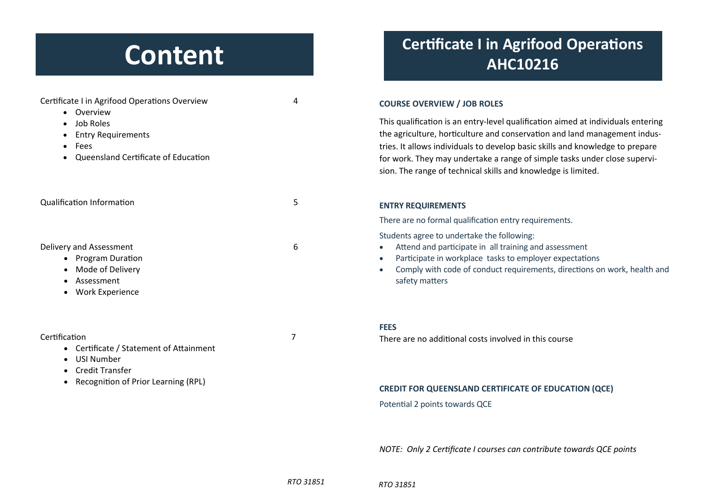## **Content**

| Certificate I in Agrifood Operations Overview<br>Overview                                                      | 4 | <b>COURSE OVERVIEW / JOB ROLES</b><br>This qualification is an entry-leve<br>the agriculture, horticulture and<br>tries. It allows individuals to deve<br>for work. They may undertake a<br>sion. The range of technical skills |  |
|----------------------------------------------------------------------------------------------------------------|---|---------------------------------------------------------------------------------------------------------------------------------------------------------------------------------------------------------------------------------|--|
| Job Roles<br><b>Entry Requirements</b><br>Fees<br>Queensland Certificate of Education                          |   |                                                                                                                                                                                                                                 |  |
| <b>Qualification Information</b>                                                                               | 5 | <b>ENTRY REQUIREMENTS</b>                                                                                                                                                                                                       |  |
|                                                                                                                |   | There are no formal qualification                                                                                                                                                                                               |  |
|                                                                                                                |   | Students agree to undertake the f                                                                                                                                                                                               |  |
| Delivery and Assessment<br><b>Program Duration</b><br>Mode of Delivery<br>Assessment<br><b>Work Experience</b> | 6 | Attend and participate in all<br>Participate in workplace task<br>Comply with code of conduct<br>safety matters                                                                                                                 |  |
|                                                                                                                |   | <b>FEES</b>                                                                                                                                                                                                                     |  |
| Certification                                                                                                  |   | There are no additional costs inv                                                                                                                                                                                               |  |

- Certificate / Statement of Attainment
- USI Number
- Credit Transfer
- Recognition of Prior Learning (RPL)

### **Certificate I in Agrifood Operations AHC10216**

#### **COURSE OVERVIEW / JOB ROLES**

el qualification aimed at individuals entering conservation and land management induselop basic skills and knowledge to prepare range of simple tasks under close superviand knowledge is limited.

entry requirements.

following:

- training and assessment
- ks to employer expectations
- t requirements, directions on work, health and

There are no additional costs involved in this course

#### **CREDIT FOR QUEENSLAND CERTIFICATE OF EDUCATION (QCE)**

Potential 2 points towards QCE

*NOTE: Only 2 CerƟficate I courses can contribute towards QCE points* 

*RTO 31851*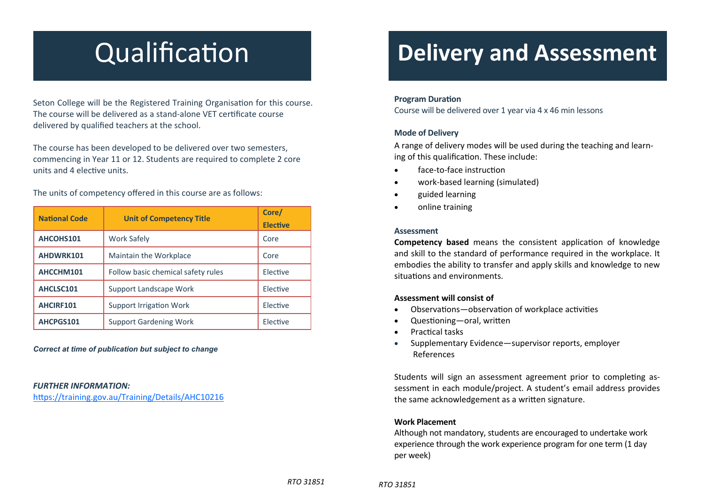# **Qualification**

Seton College will be the Registered Training Organisation for this course. The course will be delivered as a stand-alone VET certificate course delivered by qualified teachers at the school.

The course has been developed to be delivered over two semesters, commencing in Year 11 or 12. Students are required to complete 2 core units and 4 elective units.

| <b>National Code</b> | <b>Unit of Competency Title</b>    | Core/<br><b>Elective</b> |
|----------------------|------------------------------------|--------------------------|
| AHCOHS101            | <b>Work Safely</b>                 | Core                     |
| AHDWRK101            | Maintain the Workplace             | Core                     |
| AHCCHM101            | Follow basic chemical safety rules | Elective                 |
| AHCLSC101            | Support Landscape Work             | Elective                 |
| AHCIRF101            | <b>Support Irrigation Work</b>     | Elective                 |
| AHCPGS101            | <b>Support Gardening Work</b>      | Flective                 |

The units of competency <sup>o</sup>ffered in this course are as follows:

*Correct at time of publication but subject to change* 

#### *FURTHER INFORMATION:*

https://training.gov.au/Training/Details/AHC10216

### **Delivery and Assessment**

#### **Program Duration**

Course will be delivered over 1 year via 4 <sup>x</sup> 46 min lessons

#### **Mode of Delivery**

A range of delivery modes will be used during the teaching and learn‐ ing of this qualification. These include:

- $\bullet$ face‐to‐face instrucƟon
- $\bullet$ work‐based learning (simulated)
- $\bullet$ guided learning
- $\bullet$ online training

#### **Assessment**

**Competency based** means the consistent application of knowledge and skill to the standard of performance required in the workplace. It embodies the ability to transfer and apply skills and knowledge to new situations and environments.

#### **Assessment will consist of**

- $\bullet$ Observations—observation of workplace activities
- $\bullet$ Questioning-oral, written
- $\bullet$ PracƟcal tasks
- $\bullet$  Supplementary Evidence—supervisor reports, employer References

Students will sign an assessment agreement prior to completing assessment in each module/project. A student's email address provides the same acknowledgement as a written signature.

#### **Work Placement**

Although not mandatory, students are encouraged to undertake work experience through the work experience program for one term (1 day per week)

*RTO 31851*